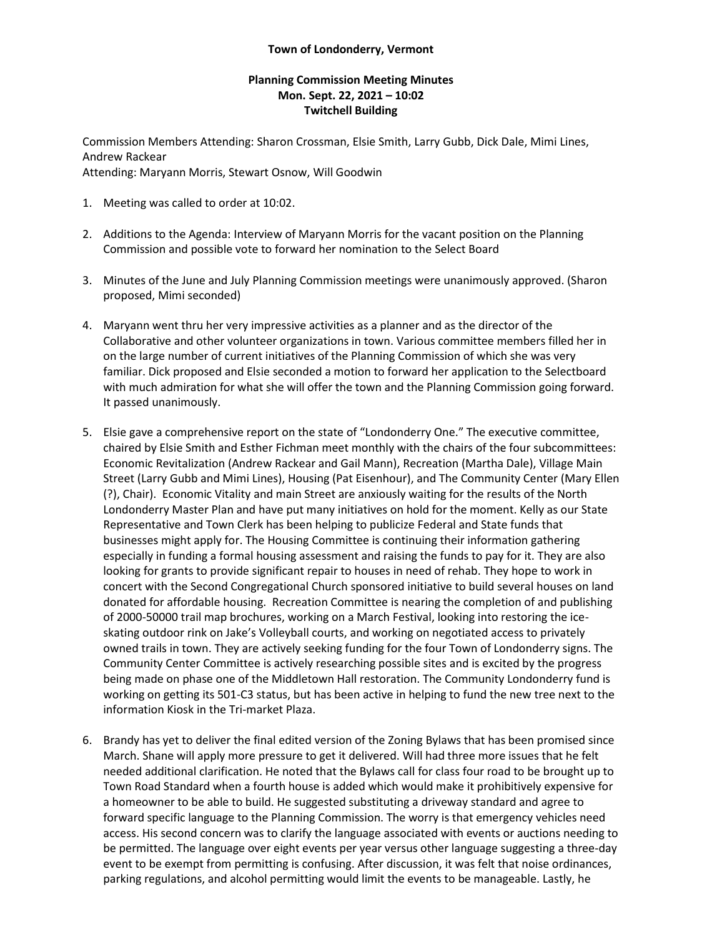## **Town of Londonderry, Vermont**

## **Planning Commission Meeting Minutes Mon. Sept. 22, 2021 – 10:02 Twitchell Building**

Commission Members Attending: Sharon Crossman, Elsie Smith, Larry Gubb, Dick Dale, Mimi Lines, Andrew Rackear Attending: Maryann Morris, Stewart Osnow, Will Goodwin

- 1. Meeting was called to order at 10:02.
- 2. Additions to the Agenda: Interview of Maryann Morris for the vacant position on the Planning Commission and possible vote to forward her nomination to the Select Board
- 3. Minutes of the June and July Planning Commission meetings were unanimously approved. (Sharon proposed, Mimi seconded)
- 4. Maryann went thru her very impressive activities as a planner and as the director of the Collaborative and other volunteer organizations in town. Various committee members filled her in on the large number of current initiatives of the Planning Commission of which she was very familiar. Dick proposed and Elsie seconded a motion to forward her application to the Selectboard with much admiration for what she will offer the town and the Planning Commission going forward. It passed unanimously.
- 5. Elsie gave a comprehensive report on the state of "Londonderry One." The executive committee, chaired by Elsie Smith and Esther Fichman meet monthly with the chairs of the four subcommittees: Economic Revitalization (Andrew Rackear and Gail Mann), Recreation (Martha Dale), Village Main Street (Larry Gubb and Mimi Lines), Housing (Pat Eisenhour), and The Community Center (Mary Ellen (?), Chair). Economic Vitality and main Street are anxiously waiting for the results of the North Londonderry Master Plan and have put many initiatives on hold for the moment. Kelly as our State Representative and Town Clerk has been helping to publicize Federal and State funds that businesses might apply for. The Housing Committee is continuing their information gathering especially in funding a formal housing assessment and raising the funds to pay for it. They are also looking for grants to provide significant repair to houses in need of rehab. They hope to work in concert with the Second Congregational Church sponsored initiative to build several houses on land donated for affordable housing. Recreation Committee is nearing the completion of and publishing of 2000-50000 trail map brochures, working on a March Festival, looking into restoring the iceskating outdoor rink on Jake's Volleyball courts, and working on negotiated access to privately owned trails in town. They are actively seeking funding for the four Town of Londonderry signs. The Community Center Committee is actively researching possible sites and is excited by the progress being made on phase one of the Middletown Hall restoration. The Community Londonderry fund is working on getting its 501-C3 status, but has been active in helping to fund the new tree next to the information Kiosk in the Tri-market Plaza.
- 6. Brandy has yet to deliver the final edited version of the Zoning Bylaws that has been promised since March. Shane will apply more pressure to get it delivered. Will had three more issues that he felt needed additional clarification. He noted that the Bylaws call for class four road to be brought up to Town Road Standard when a fourth house is added which would make it prohibitively expensive for a homeowner to be able to build. He suggested substituting a driveway standard and agree to forward specific language to the Planning Commission. The worry is that emergency vehicles need access. His second concern was to clarify the language associated with events or auctions needing to be permitted. The language over eight events per year versus other language suggesting a three-day event to be exempt from permitting is confusing. After discussion, it was felt that noise ordinances, parking regulations, and alcohol permitting would limit the events to be manageable. Lastly, he